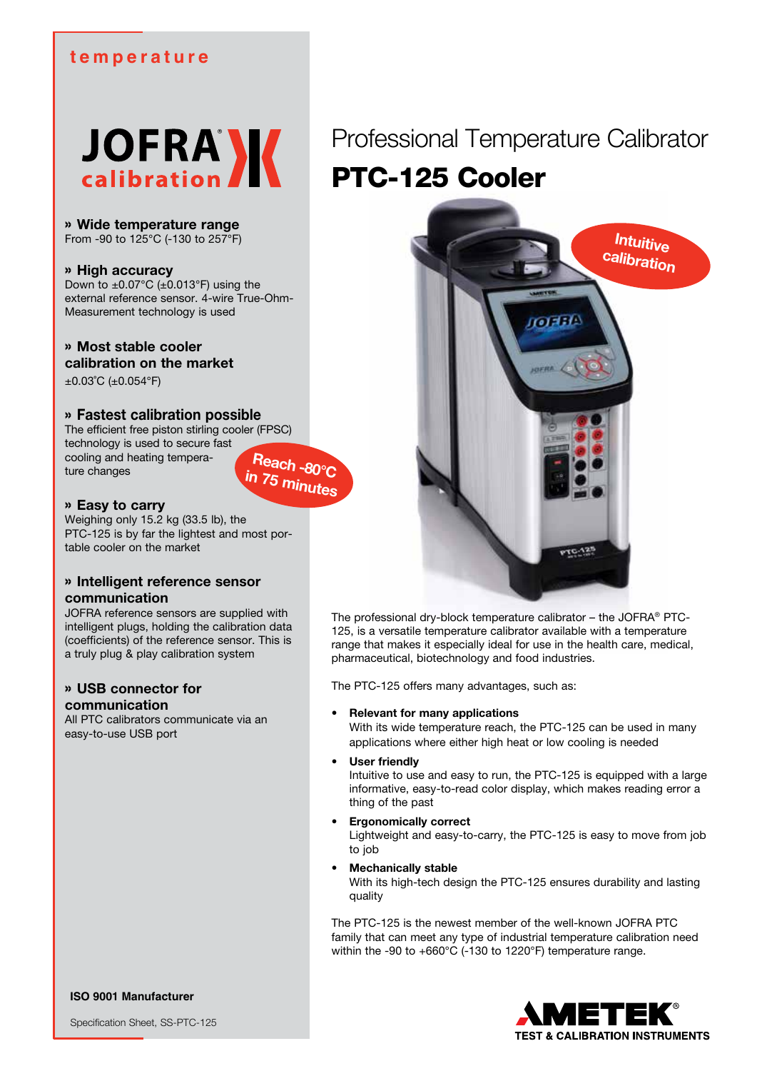## **temperature**



» **Wide temperature range** From -90 to 125°C (-130 to 257°F)

## » **High accuracy**

Down to  $\pm 0.07^{\circ}$ C ( $\pm 0.013^{\circ}$ F) using the external reference sensor. 4-wire True-Ohm-Measurement technology is used

## » **Most stable cooler calibration on the market**

±0.03˚C (±0.054°F)

## » **Fastest calibration possible**

The efficient free piston stirling cooler (FPSC) technology is used to secure fast cooling and heating temperature changes



## » **Easy to carry**

Weighing only 15.2 kg (33.5 lb), the PTC-125 is by far the lightest and most portable cooler on the market

## » **Intelligent reference sensor communication**

JOFRA reference sensors are supplied with intelligent plugs, holding the calibration data (coefficients) of the reference sensor. This is a truly plug & play calibration system

## » **USB connector for communication**

All PTC calibrators communicate via an easy-to-use USB port

# Professional Temperature Calibrator PTC-125 Cooler



The professional dry-block temperature calibrator – the JOFRA® PTC-125, is a versatile temperature calibrator available with a temperature range that makes it especially ideal for use in the health care, medical, pharmaceutical, biotechnology and food industries.

The PTC-125 offers many advantages, such as:

## **Relevant for many applications**

With its wide temperature reach, the PTC-125 can be used in many applications where either high heat or low cooling is needed

#### **User friendly**

Intuitive to use and easy to run, the PTC-125 is equipped with a large informative, easy-to-read color display, which makes reading error a thing of the past

## **Ergonomically correct**

Lightweight and easy-to-carry, the PTC-125 is easy to move from job to job

## **Mechanically stable**

With its high-tech design the PTC-125 ensures durability and lasting quality

The PTC-125 is the newest member of the well-known JOFRA PTC family that can meet any type of industrial temperature calibration need within the -90 to +660°C (-130 to 1220°F) temperature range.



**ISO 9001 Manufacturer**

Specification Sheet, SS-PTC-125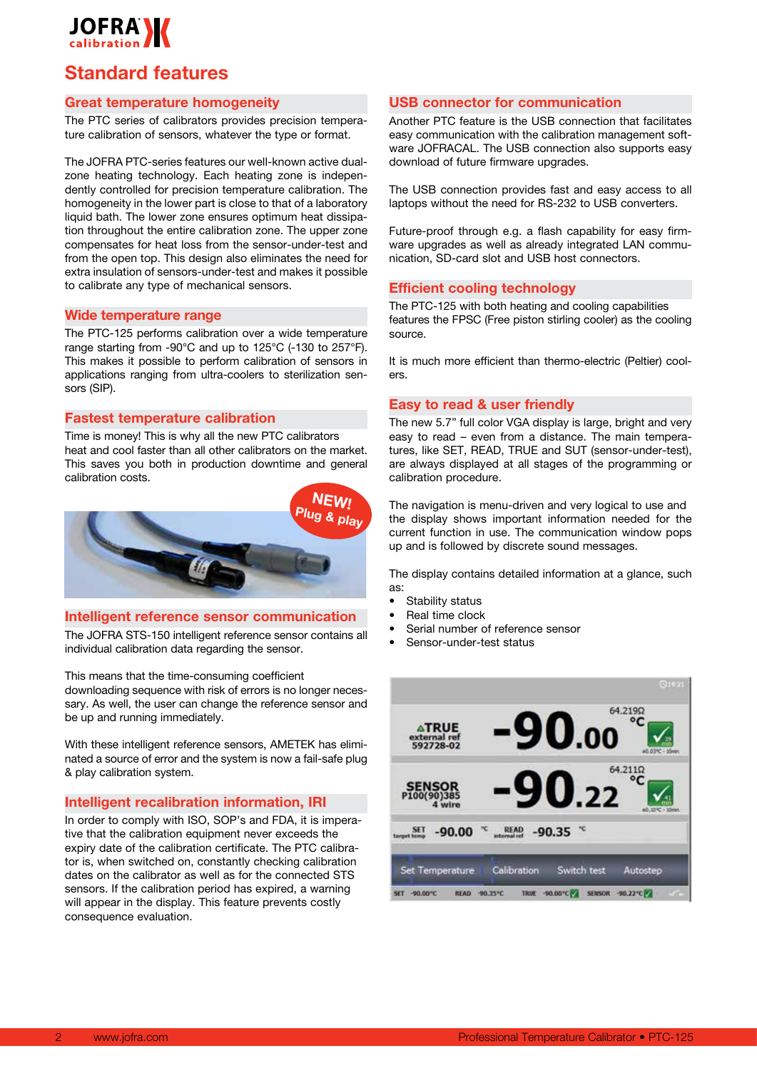

## **Standard features**

## **Great temperature homogeneity**

The PTC series of calibrators provides precision temperature calibration of sensors, whatever the type or format.

The JOFRA PTC-series features our well-known active dualzone heating technology. Each heating zone is independently controlled for precision temperature calibration. The homogeneity in the lower part is close to that of a laboratory liquid bath. The lower zone ensures optimum heat dissipation throughout the entire calibration zone. The upper zone compensates for heat loss from the sensor-under-test and from the open top. This design also eliminates the need for extra insulation of sensors-under-test and makes it possible to calibrate any type of mechanical sensors.

#### **Wide temperature range**

The PTC-125 performs calibration over a wide temperature range starting from -90°C and up to 125°C (-130 to 257°F). This makes it possible to perform calibration of sensors in applications ranging from ultra-coolers to sterilization sensors (SIP).

### **Fastest temperature calibration**

Time is money! This is why all the new PTC calibrators heat and cool faster than all other calibrators on the market. This saves you both in production downtime and general calibration costs.



### **Intelligent reference sensor communication**

The JOFRA STS-150 intelligent reference sensor contains all individual calibration data regarding the sensor.

This means that the time-consuming coefficient downloading sequence with risk of errors is no longer necessary. As well, the user can change the reference sensor and be up and running immediately.

With these intelligent reference sensors, AMETEK has eliminated a source of error and the system is now a fail-safe plug & play calibration system.

### **Intelligent recalibration information, IRI**

In order to comply with ISO, SOP's and FDA, it is imperative that the calibration equipment never exceeds the expiry date of the calibration certificate. The PTC calibrator is, when switched on, constantly checking calibration dates on the calibrator as well as for the connected STS sensors. If the calibration period has expired, a warning will appear in the display. This feature prevents costly consequence evaluation.

### **USB connector for communication**

Another PTC feature is the USB connection that facilitates easy communication with the calibration management software JOFRACAL. The USB connection also supports easy download of future firmware upgrades.

The USB connection provides fast and easy access to all laptops without the need for RS-232 to USB converters.

Future-proof through e.g. a flash capability for easy firmware upgrades as well as already integrated LAN communication, SD-card slot and USB host connectors.

### **Efficient cooling technology**

The PTC-125 with both heating and cooling capabilities features the FPSC (Free piston stirling cooler) as the cooling source.

It is much more efficient than thermo-electric (Peltier) coolers.

### **Easy to read & user friendly**

The new 5.7" full color VGA display is large, bright and very easy to read – even from a distance. The main temperatures, like SET, READ, TRUE and SUT (sensor-under-test), are always displayed at all stages of the programming or calibration procedure.

The navigation is menu-driven and very logical to use and the display shows important information needed for the current function in use. The communication window pops up and is followed by discrete sound messages.

The display contains detailed information at a glance, such as:

- Stability status
- Real time clock
- Serial number of reference sensor
- Sensor-under-test status

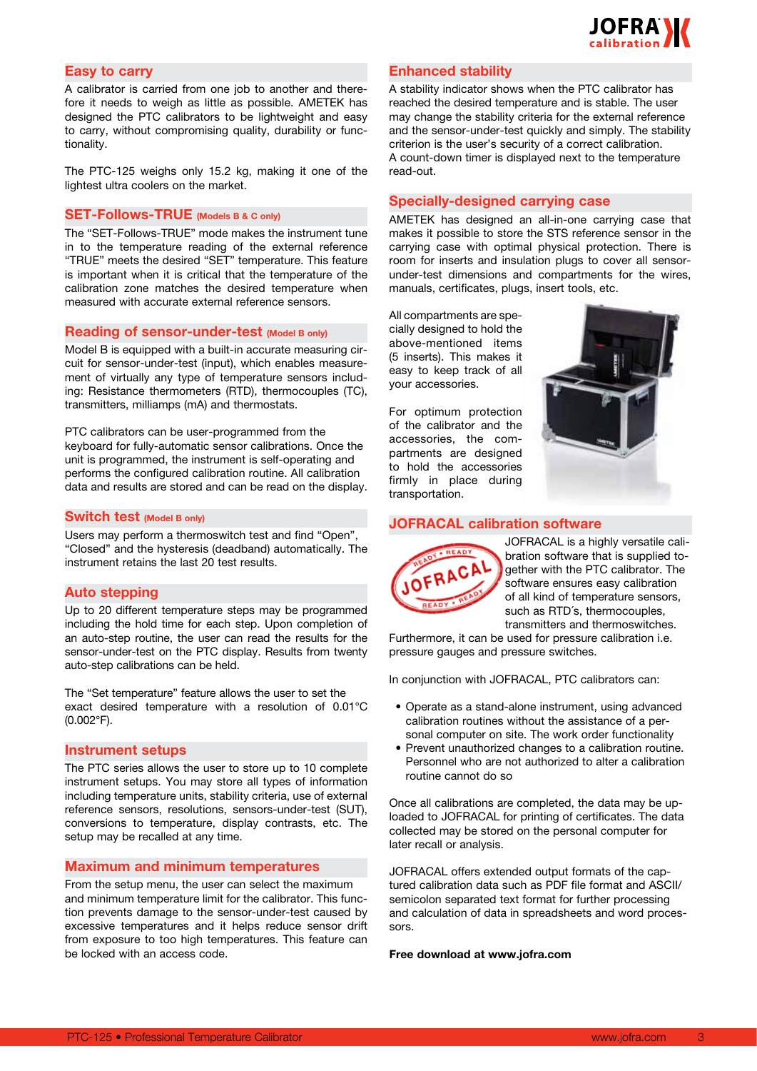

## **Easy to carry**

A calibrator is carried from one job to another and therefore it needs to weigh as little as possible. AMETEK has designed the PTC calibrators to be lightweight and easy to carry, without compromising quality, durability or functionality.

The PTC-125 weighs only 15.2 kg, making it one of the lightest ultra coolers on the market.

## **SET-Follows-TRUE (Models B & C only)**

The "SET-Follows-TRUE" mode makes the instrument tune in to the temperature reading of the external reference "TRUE" meets the desired "SET" temperature. This feature is important when it is critical that the temperature of the calibration zone matches the desired temperature when measured with accurate external reference sensors.

#### **Reading of sensor-under-test (Model B only)**

Model B is equipped with a built-in accurate measuring circuit for sensor-under-test (input), which enables measurement of virtually any type of temperature sensors including: Resistance thermometers (RTD), thermocouples (TC), transmitters, milliamps (mA) and thermostats.

PTC calibrators can be user-programmed from the keyboard for fully-automatic sensor calibrations. Once the unit is programmed, the instrument is self-operating and performs the configured calibration routine. All calibration data and results are stored and can be read on the display.

#### **Switch test (Model B only)**

Users may perform a thermoswitch test and find "Open", "Closed" and the hysteresis (deadband) automatically. The instrument retains the last 20 test results.

#### **Auto stepping**

Up to 20 different temperature steps may be programmed including the hold time for each step. Upon completion of an auto-step routine, the user can read the results for the sensor-under-test on the PTC display. Results from twenty auto-step calibrations can be held.

The "Set temperature" feature allows the user to set the exact desired temperature with a resolution of 0.01°C (0.002°F).

#### **Instrument setups**

The PTC series allows the user to store up to 10 complete instrument setups. You may store all types of information including temperature units, stability criteria, use of external reference sensors, resolutions, sensors-under-test (SUT), conversions to temperature, display contrasts, etc. The setup may be recalled at any time.

#### **Maximum and minimum temperatures**

From the setup menu, the user can select the maximum and minimum temperature limit for the calibrator. This function prevents damage to the sensor-under-test caused by excessive temperatures and it helps reduce sensor drift from exposure to too high temperatures. This feature can be locked with an access code.

## **Enhanced stability**

A stability indicator shows when the PTC calibrator has reached the desired temperature and is stable. The user may change the stability criteria for the external reference and the sensor-under-test quickly and simply. The stability criterion is the user's security of a correct calibration. A count-down timer is displayed next to the temperature read-out.

## **Specially-designed carrying case**

AMETEK has designed an all-in-one carrying case that makes it possible to store the STS reference sensor in the carrying case with optimal physical protection. There is room for inserts and insulation plugs to cover all sensorunder-test dimensions and compartments for the wires, manuals, certificates, plugs, insert tools, etc.

All compartments are specially designed to hold the above-mentioned items (5 inserts). This makes it easy to keep track of all your accessories.

For optimum protection of the calibrator and the accessories, the compartments are designed to hold the accessories firmly in place during transportation.



### **JOFRACAL calibration software**



JOFRACAL is a highly versatile calibration software that is supplied together with the PTC calibrator. The software ensures easy calibration of all kind of temperature sensors, such as RTD´s, thermocouples, transmitters and thermoswitches.

Furthermore, it can be used for pressure calibration i.e. pressure gauges and pressure switches.

In conjunction with JOFRACAL, PTC calibrators can:

- Operate as a stand-alone instrument, using advanced calibration routines without the assistance of a personal computer on site. The work order functionality
- Prevent unauthorized changes to a calibration routine. Personnel who are not authorized to alter a calibration routine cannot do so

Once all calibrations are completed, the data may be uploaded to JOFRACAL for printing of certificates. The data collected may be stored on the personal computer for later recall or analysis.

JOFRACAL offers extended output formats of the captured calibration data such as PDF file format and ASCII/ semicolon separated text format for further processing and calculation of data in spreadsheets and word processors.

#### **Free download at www.jofra.com**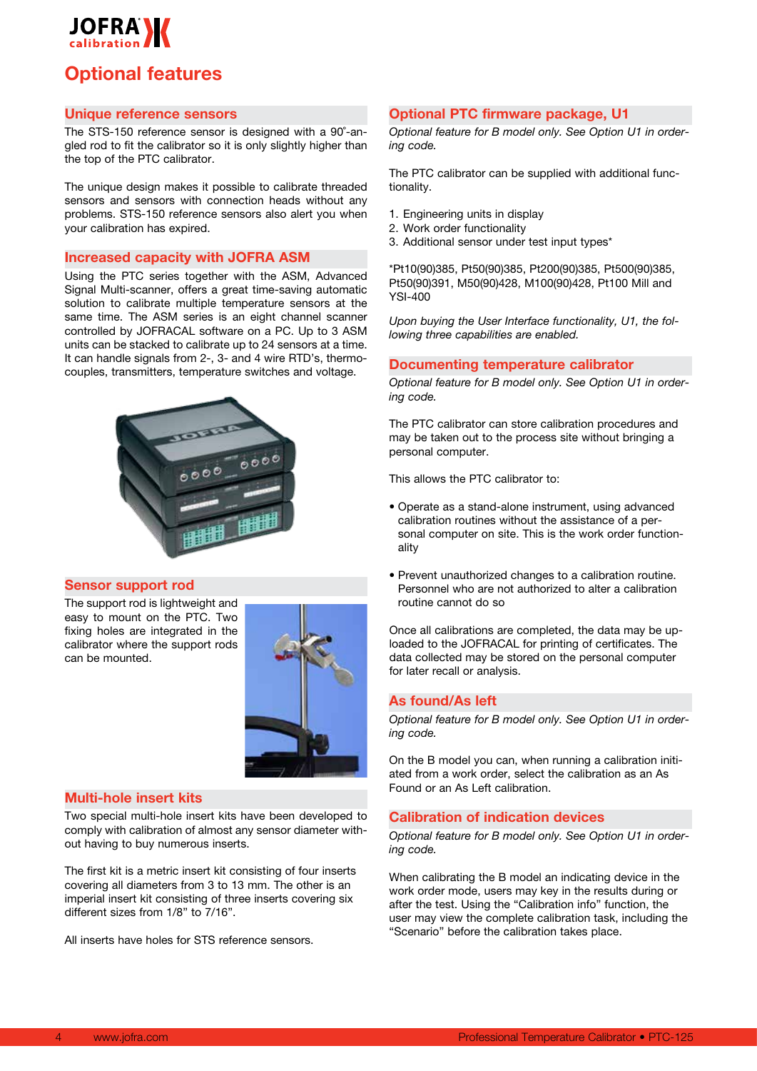

## **Optional features**

## **Unique reference sensors**

The STS-150 reference sensor is designed with a 90˚-angled rod to fit the calibrator so it is only slightly higher than the top of the PTC calibrator.

The unique design makes it possible to calibrate threaded sensors and sensors with connection heads without any problems. STS-150 reference sensors also alert you when your calibration has expired.

## **Increased capacity with JOFRA ASM**

Using the PTC series together with the ASM, Advanced Signal Multi-scanner, offers a great time-saving automatic solution to calibrate multiple temperature sensors at the same time. The ASM series is an eight channel scanner controlled by JOFRACAL software on a PC. Up to 3 ASM units can be stacked to calibrate up to 24 sensors at a time. It can handle signals from 2-, 3- and 4 wire RTD's, thermocouples, transmitters, temperature switches and voltage.



#### **Sensor support rod**

The support rod is lightweight and easy to mount on the PTC. Two fixing holes are integrated in the calibrator where the support rods can be mounted.



## **Multi-hole insert kits**

Two special multi-hole insert kits have been developed to comply with calibration of almost any sensor diameter without having to buy numerous inserts.

The first kit is a metric insert kit consisting of four inserts covering all diameters from 3 to 13 mm. The other is an imperial insert kit consisting of three inserts covering six different sizes from 1/8" to 7/16".

All inserts have holes for STS reference sensors.

## **Optional PTC firmware package, U1**

*Optional feature for B model only. See Option U1 in ordering code.*

The PTC calibrator can be supplied with additional functionality.

- 1. Engineering units in display
- 2. Work order functionality
- 3. Additional sensor under test input types\*

\*Pt10(90)385, Pt50(90)385, Pt200(90)385, Pt500(90)385, Pt50(90)391, M50(90)428, M100(90)428, Pt100 Mill and YSI-400

*Upon buying the User Interface functionality, U1, the following three capabilities are enabled.*

### **Documenting temperature calibrator**

*Optional feature for B model only. See Option U1 in ordering code.* 

The PTC calibrator can store calibration procedures and may be taken out to the process site without bringing a personal computer.

This allows the PTC calibrator to:

- • Operate as a stand-alone instrument, using advanced calibration routines without the assistance of a personal computer on site. This is the work order functionality
- Prevent unauthorized changes to a calibration routine. Personnel who are not authorized to alter a calibration routine cannot do so

Once all calibrations are completed, the data may be uploaded to the JOFRACAL for printing of certificates. The data collected may be stored on the personal computer for later recall or analysis.

#### **As found/As left**

*Optional feature for B model only. See Option U1 in ordering code.* 

On the B model you can, when running a calibration initiated from a work order, select the calibration as an As Found or an As Left calibration.

## **Calibration of indication devices**

*Optional feature for B model only. See Option U1 in ordering code.* 

When calibrating the B model an indicating device in the work order mode, users may key in the results during or after the test. Using the "Calibration info" function, the user may view the complete calibration task, including the "Scenario" before the calibration takes place.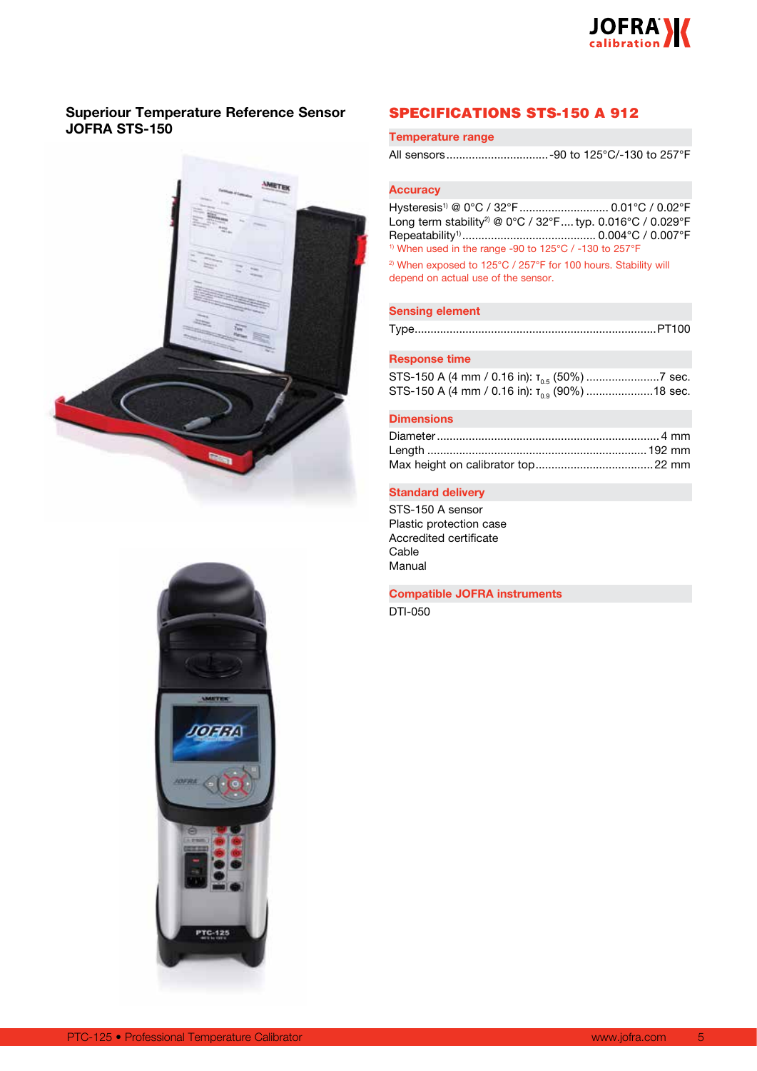

## **Superiour Temperature Reference Sensor JOFRA STS-150**





## SPECIFICATIONS STS-150 A 912

#### **Temperature range**

All sensors................................-90 to 125°C/-130 to 257°F

## **Accuracy**

Hysteresis<sup>1)</sup> @ 0°C / 32°F ............................. 0.01°C / 0.02°F Long term stability<sup>2)</sup> @ 0°C / 32°F.... typ. 0.016°C / 0.029°F Repeatability1).......................................... 0.004°C / 0.007°F 1) When used in the range -90 to 125°C / -130 to 257°F

<sup>2)</sup> When exposed to 125°C / 257°F for 100 hours. Stability will depend on actual use of the sensor.

## **Sensing element**

Type............................................................................PT100

## **Response time**

|  | STS-150 A (4 mm / 0.16 in): $T_{0.9}$ (90%) 18 sec. |
|--|-----------------------------------------------------|

#### **Dimensions**

### **Standard delivery**

STS-150 A sensor Plastic protection case Accredited certificate Cable Manual

**Compatible JOFRA instruments**

DTI-050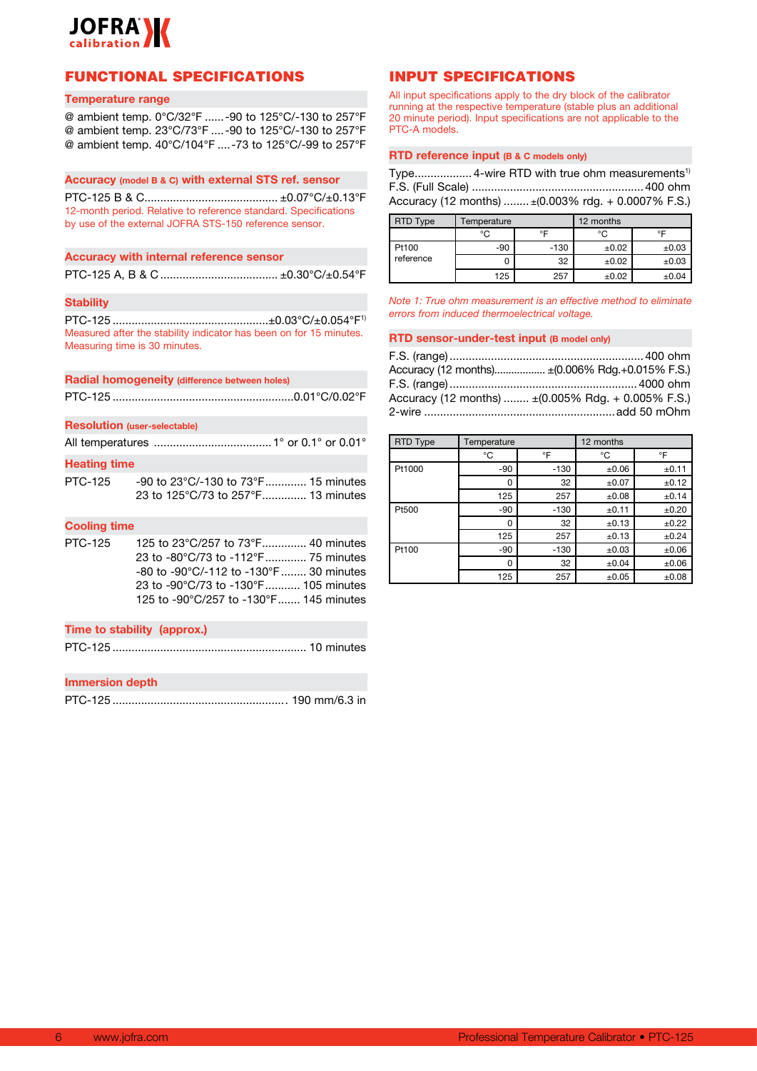

## FUNCTIONAL SPECIFICATIONS

#### **Temperature range**

@ ambient temp. 0°C/32°F ......-90 to 125°C/-130 to 257°F @ ambient temp. 23°C/73°F ....-90 to 125°C/-130 to 257°F @ ambient temp. 40°C/104°F ....-73 to 125°C/-99 to 257°F

#### **Accuracy (model B & C) with external STS ref. sensor**

PTC-125 B & C.......................................... ±0.07°C/±0.13°F 12-month period. Relative to reference standard. Specifications by use of the external JOFRA STS-150 reference sensor.

#### **Accuracy with internal reference sensor**

PTC-125 A, B & C ..................................... ±0.30°C/±0.54°F

#### **Stability**

PTC-125 .................................................±0.03°C/±0.054°F1) Measured after the stability indicator has been on for 15 minutes. Measuring time is 30 minutes.

#### **Radial homogeneity (difference between holes)**

PTC-125 .........................................................0.01°C/0.02°F

#### **Resolution (user-selectable)**

All temperatures .....................................1° or 0.1° or 0.01°

## **Heating time**

PTC-125 -90 to 23°C/-130 to 73°F............. 15 minutes 23 to 125°C/73 to 257°F.............. 13 minutes

#### **Cooling time**

PTC-125 125 to 23°C/257 to 73°F.............. 40 minutes 23 to -80°C/73 to -112°F............. 75 minutes -80 to -90°C/-112 to -130°F........ 30 minutes 23 to -90°C/73 to -130°F........... 105 minutes 125 to -90°C/257 to -130°F....... 145 minutes

#### **Time to stability (approx.)**

PTC-125 ............................................................. 10 minutes

#### **Immersion depth**

PTC-125 ....................................................... 190 mm/6.3 in

## INPUT SPECIFICATIONS

All input specifications apply to the dry block of the calibrator running at the respective temperature (stable plus an additional 20 minute period). Input specifications are not applicable to the PTC-A models.

#### **RTD reference input (B & C models only)**

Type................... 4-wire RTD with true ohm measurements<sup>1)</sup> F.S. (Full Scale) ......................................................400 ohm Accuracy (12 months) ........ ±(0.003% rdg. + 0.0007% F.S.)

| RTD Type  | <b>Femperature</b> |        | 12 months |            |
|-----------|--------------------|--------|-----------|------------|
|           | °C                 | ∘⊏     | °C        | ᅂ          |
| Pt100     | $-90$              | $-130$ | ±0.02     | ±0.03      |
| reference |                    | 32     | ±0.02     | ±0.03      |
|           | 125                | 257    | ±0.02     | $\pm 0.04$ |

*Note 1: True ohm measurement is an effective method to eliminate errors from induced thermoelectrical voltage.*

#### **RTD sensor-under-test input (B model only)**

| Accuracy (12 months) ± (0.006% Rdg.+0.015% F.S.)                         |
|--------------------------------------------------------------------------|
|                                                                          |
| Accuracy (12 months) $\pm (0.005\% \text{ Rdg.} + 0.005\% \text{ F.S.})$ |
| 2-wire $\sim$ 2008 and 50 mOhm                                           |

| RTD Type | Temperature |        | 12 months  |            |
|----------|-------------|--------|------------|------------|
|          | °C          | °F     | °C         | °F         |
| Pt1000   | $-90$       | $-130$ | $\pm 0.06$ | ±0.11      |
|          | 0           | 32     | ±0.07      | ±0.12      |
|          | 125         | 257    | ±0.08      | ±0.14      |
| Pt500    | $-90$       | $-130$ | ±0.11      | ±0.20      |
|          | 0           | 32     | ±0.13      | ±0.22      |
|          | 125         | 257    | ±0.13      | ±0.24      |
| Pt100    | $-90$       | $-130$ | ±0.03      | $\pm 0.06$ |
|          | 0           | 32     | ±0.04      | $\pm 0.06$ |
|          | 125         | 257    | ±0.05      | ±0.08      |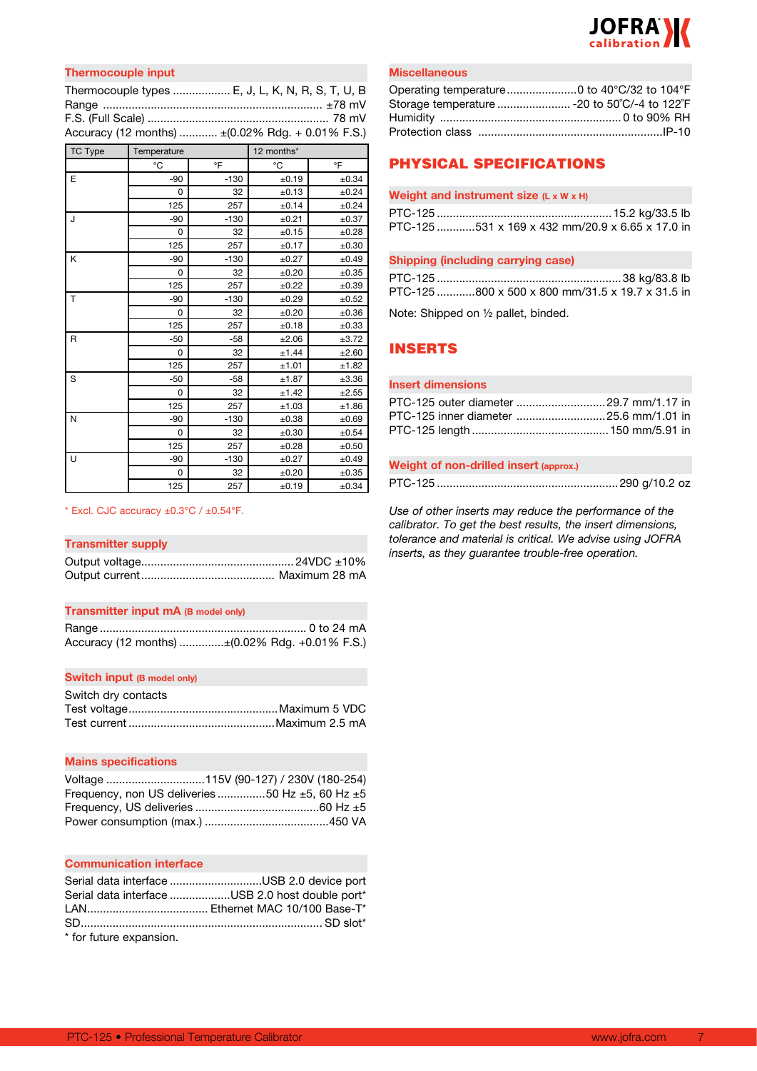

## **Thermocouple input**

| Thermocouple types  E, J, L, K, N, R, S, T, U, B  |  |
|---------------------------------------------------|--|
|                                                   |  |
|                                                   |  |
| Accuracy (12 months)  ± (0.02% Rdg. + 0.01% F.S.) |  |

| <b>TC Type</b> | Temperature |        | 12 months* |            |
|----------------|-------------|--------|------------|------------|
|                | °C          | °F     | °C         | °F         |
| E              | $-90$       | $-130$ | ±0.19      | ±0.34      |
|                | 0           | 32     | ±0.13      | ±0.24      |
|                | 125         | 257    | ±0.14      | ±0.24      |
| J              | $-90$       | $-130$ | ±0.21      | ±0.37      |
|                | 0           | 32     | ±0.15      | ±0.28      |
|                | 125         | 257    | ±0.17      | ±0.30      |
| K              | $-90$       | $-130$ | ±0.27      | ±0.49      |
|                | 0           | 32     | ±0.20      | ±0.35      |
|                | 125         | 257    | ±0.22      | ±0.39      |
| T              | $-90$       | $-130$ | ±0.29      | ±0.52      |
|                | 0           | 32     | ±0.20      | ±0.36      |
|                | 125         | 257    | ±0.18      | ±0.33      |
| R              | $-50$       | $-58$  | ±2.06      | ±3.72      |
|                | 0           | 32     | ±1.44      | ±2.60      |
|                | 125         | 257    | ±1.01      | ±1.82      |
| S              | $-50$       | $-58$  | ±1.87      | ±3.36      |
|                | 0           | 32     | ±1.42      | ±2.55      |
|                | 125         | 257    | ±1.03      | ±1.86      |
| N              | $-90$       | $-130$ | ±0.38      | ±0.69      |
|                | 0           | 32     | ±0.30      | ±0.54      |
|                | 125         | 257    | ±0.28      | ±0.50      |
| U              | $-90$       | $-130$ | ±0.27      | ±0.49      |
|                | 0           | 32     | ±0.20      | $\pm 0.35$ |
|                | 125         | 257    | ±0.19      | ±0.34      |

#### $*$  Excl. CJC accuracy  $\pm 0.3^{\circ}$ C /  $\pm 0.54^{\circ}$ F.

#### **Transmitter supply**

## **Transmitter input mA (B model only)**

| Accuracy (12 months) ±(0.02% Rdg. +0.01% F.S.) |
|------------------------------------------------|

### **Switch input (B model only)**

| Switch dry contacts |  |
|---------------------|--|
|                     |  |
|                     |  |

#### **Mains specifications**

| Frequency, non US deliveries 50 Hz $\pm$ 5, 60 Hz $\pm$ 5 |
|-----------------------------------------------------------|
|                                                           |
|                                                           |

#### **Communication interface**

|                        | Serial data interface USB 2.0 device port       |
|------------------------|-------------------------------------------------|
|                        | Serial data interface USB 2.0 host double port* |
|                        |                                                 |
|                        |                                                 |
| * for future expansion |                                                 |

for future expansion.

#### **Miscellaneous**

| Storage temperature  - 20 to 50°C/-4 to 122°F |  |
|-----------------------------------------------|--|
|                                               |  |
|                                               |  |

## PHYSICAL SPECIFICATIONS

#### **Weight and instrument size (L x W x H)**

| PTC-125 531 x 169 x 432 mm/20.9 x 6.65 x 17.0 in |
|--------------------------------------------------|

#### **Shipping (including carrying case)**

| PTC-125 800 x 500 x 800 mm/31.5 x 19.7 x 31.5 in |  |  |
|--------------------------------------------------|--|--|

Note: Shipped on ½ pallet, binded.

## INSERTS

## **Insert dimensions**

| PTC-125 outer diameter 29.7 mm/1.17 in |
|----------------------------------------|
|                                        |
|                                        |

## **Weight of non-drilled insert (approx.)**

PTC-125 .........................................................290 g/10.2 oz

*Use of other inserts may reduce the performance of the calibrator. To get the best results, the insert dimensions, tolerance and material is critical. We advise using JOFRA inserts, as they guarantee trouble-free operation.*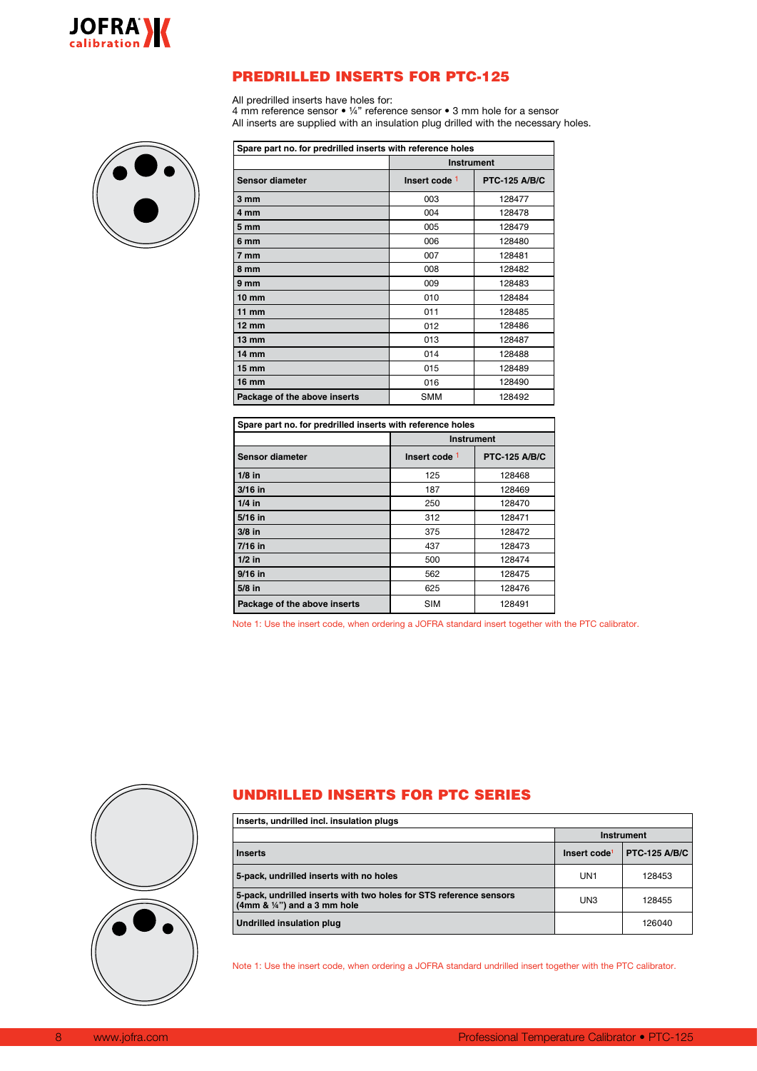

## PREDRILLED INSERTS FOR PTC-125

All predrilled inserts have holes for:

4 mm reference sensor • ¼" reference sensor • 3 mm hole for a sensor All inserts are supplied with an insulation plug drilled with the necessary holes.



| Spare part no. for predrilled inserts with reference holes |                   |                      |  |  |  |
|------------------------------------------------------------|-------------------|----------------------|--|--|--|
|                                                            | <b>Instrument</b> |                      |  |  |  |
| <b>Sensor diameter</b>                                     | Insert code 1     | <b>PTC-125 A/B/C</b> |  |  |  |
| 3 mm                                                       | 003               | 128477               |  |  |  |
| 4 mm                                                       | 004               | 128478               |  |  |  |
| 5 <sub>mm</sub>                                            | 005               | 128479               |  |  |  |
| 6 mm                                                       | 006               | 128480               |  |  |  |
| 7 mm                                                       | 007               | 128481               |  |  |  |
| 8 mm                                                       | 008               | 128482               |  |  |  |
| 9 mm                                                       | 009               | 128483               |  |  |  |
| $10 \text{ mm}$                                            | 010               | 128484               |  |  |  |
| $11$ mm                                                    | 011               | 128485               |  |  |  |
| $12 \text{ mm}$                                            | 012               | 128486               |  |  |  |
| $13 \, \text{mm}$                                          | 013               | 128487               |  |  |  |
| $14 \text{ mm}$                                            | 014               | 128488               |  |  |  |
| $15 \, \mathrm{mm}$                                        | 015               | 128489               |  |  |  |
| <b>16 mm</b>                                               | 016               | 128490               |  |  |  |
| Package of the above inserts                               | <b>SMM</b>        | 128492               |  |  |  |

| Spare part no. for predrilled inserts with reference holes |                                                  |        |  |  |
|------------------------------------------------------------|--------------------------------------------------|--------|--|--|
|                                                            | <b>Instrument</b>                                |        |  |  |
| Sensor diameter                                            | Insert code <sup>1</sup><br><b>PTC-125 A/B/C</b> |        |  |  |
| $1/8$ in                                                   | 125                                              | 128468 |  |  |
| $3/16$ in                                                  | 187                                              | 128469 |  |  |
| $1/4$ in                                                   | 250                                              | 128470 |  |  |
| $5/16$ in                                                  | 312                                              | 128471 |  |  |
| $3/8$ in                                                   | 375                                              | 128472 |  |  |
| $7/16$ in                                                  | 437                                              | 128473 |  |  |
| $1/2$ in                                                   | 500                                              | 128474 |  |  |
| $9/16$ in                                                  | 562                                              | 128475 |  |  |
| $5/8$ in                                                   | 625                                              | 128476 |  |  |
| Package of the above inserts                               | <b>SIM</b>                                       | 128491 |  |  |

Note 1: Use the insert code, when ordering a JOFRA standard insert together with the PTC calibrator.



## UNDRILLED INSERTS FOR PTC SERIES

| Inserts, undrilled incl. insulation plugs                                                                   |                          |                      |  |  |  |
|-------------------------------------------------------------------------------------------------------------|--------------------------|----------------------|--|--|--|
|                                                                                                             | Instrument               |                      |  |  |  |
| <b>Inserts</b>                                                                                              | Insert code <sup>1</sup> | <b>PTC-125 A/B/C</b> |  |  |  |
| 5-pack, undrilled inserts with no holes                                                                     | UN <sub>1</sub>          | 128453               |  |  |  |
| 5-pack, undrilled inserts with two holes for STS reference sensors<br>$(4mm & \frac{1}{4}) and a 3 mm hole$ | UN3                      | 128455               |  |  |  |
| Undrilled insulation plug                                                                                   |                          | 126040               |  |  |  |

Note 1: Use the insert code, when ordering a JOFRA standard undrilled insert together with the PTC calibrator.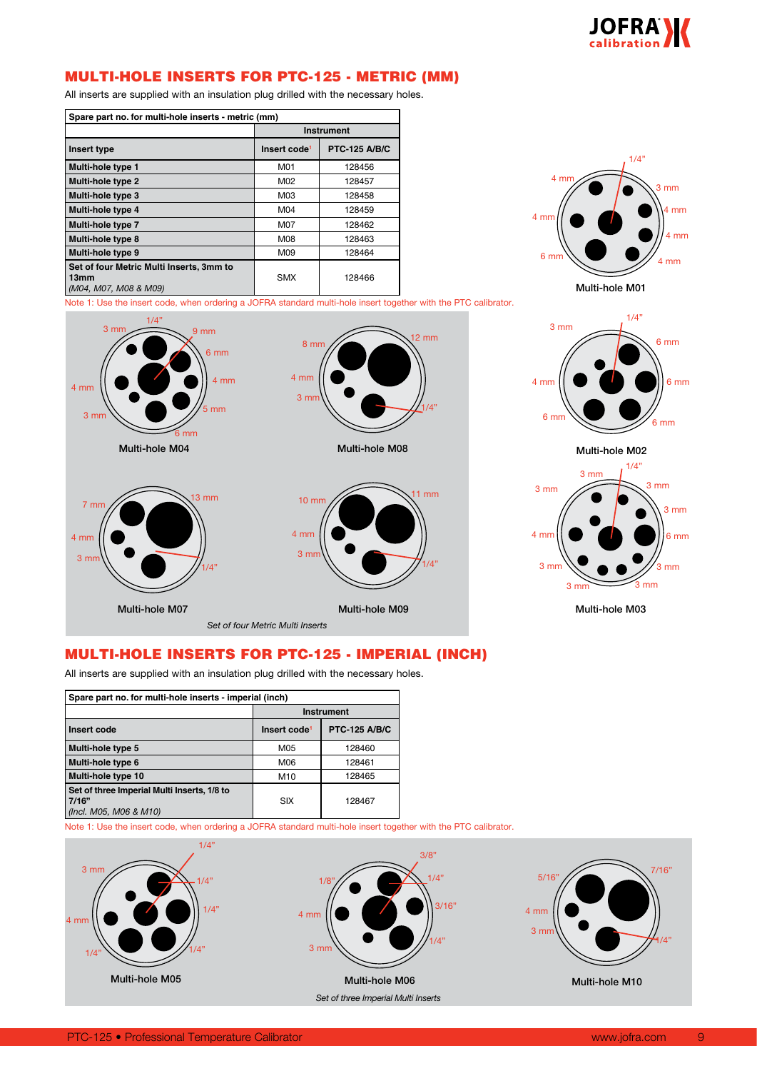

## MULTI-HOLE INSERTS FOR PTC-125 - METRIC (MM)

All inserts are supplied with an insulation plug drilled with the necessary holes.

| Spare part no. for multi-hole inserts - metric (mm)                       |                   |        |  |  |  |
|---------------------------------------------------------------------------|-------------------|--------|--|--|--|
|                                                                           | <b>Instrument</b> |        |  |  |  |
| <b>PTC-125 A/B/C</b><br>Insert code <sup>1</sup><br>Insert type           |                   |        |  |  |  |
| Multi-hole type 1                                                         | M01               | 128456 |  |  |  |
| Multi-hole type 2                                                         | M02               | 128457 |  |  |  |
| Multi-hole type 3                                                         | M03               | 128458 |  |  |  |
| Multi-hole type 4                                                         | M04               | 128459 |  |  |  |
| Multi-hole type 7                                                         | M07               | 128462 |  |  |  |
| Multi-hole type 8                                                         | M08               | 128463 |  |  |  |
| Multi-hole type 9                                                         | M09               | 128464 |  |  |  |
| Set of four Metric Multi Inserts, 3mm to<br>13mm<br>(M04, M07, M08 & M09) | <b>SMX</b>        | 128466 |  |  |  |



Note 1: Use the insert code, when ordering a JOFRA standard multi-hole insert together with the PTC calibrator.







Multi-hole M03

## MULTI-HOLE INSERTS FOR PTC-125 - IMPERIAL (INCH)

All inserts are supplied with an insulation plug drilled with the necessary holes.

| Spare part no. for multi-hole inserts - imperial (inch)                        |                          |                      |  |  |  |  |
|--------------------------------------------------------------------------------|--------------------------|----------------------|--|--|--|--|
|                                                                                | <b>Instrument</b>        |                      |  |  |  |  |
| Insert code                                                                    | Insert code <sup>1</sup> | <b>PTC-125 A/B/C</b> |  |  |  |  |
| Multi-hole type 5                                                              | M05                      | 128460               |  |  |  |  |
| Multi-hole type 6                                                              | M06                      | 128461               |  |  |  |  |
| Multi-hole type 10                                                             | M <sub>10</sub>          | 128465               |  |  |  |  |
| Set of three Imperial Multi Inserts, 1/8 to<br>7/16"<br>(Incl. M05, M06 & M10) | <b>SIX</b>               | 128467               |  |  |  |  |

Note 1: Use the insert code, when ordering a JOFRA standard multi-hole insert together with the PTC calibrator.

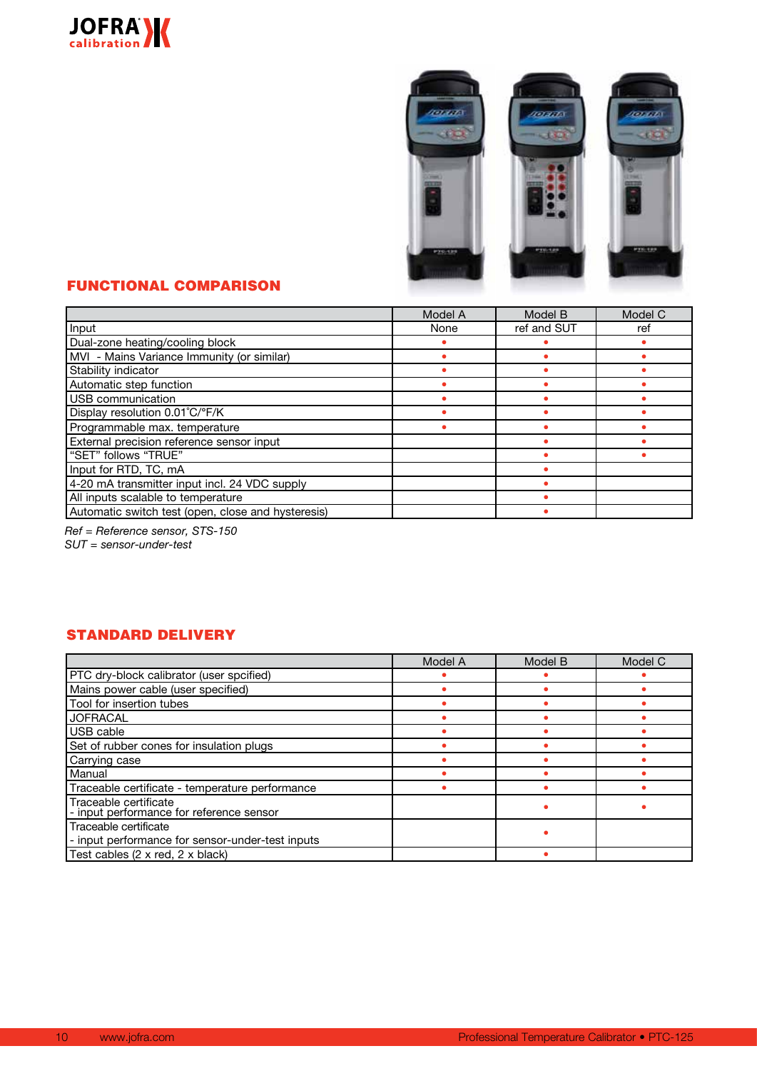



## FUNCTIONAL COMPARISON

|                                                    | Model A | Model B     | Model C |
|----------------------------------------------------|---------|-------------|---------|
| Input                                              | None    | ref and SUT | ref     |
| Dual-zone heating/cooling block                    |         |             |         |
| MVI - Mains Variance Immunity (or similar)         |         |             |         |
| Stability indicator                                |         |             |         |
| Automatic step function                            |         |             |         |
| USB communication                                  |         |             |         |
| Display resolution 0.01°C/°F/K                     |         |             |         |
| Programmable max. temperature                      |         |             |         |
| External precision reference sensor input          |         |             |         |
| "SET" follows "TRUE"                               |         |             |         |
| Input for RTD, TC, mA                              |         |             |         |
| 4-20 mA transmitter input incl. 24 VDC supply      |         |             |         |
| All inputs scalable to temperature                 |         |             |         |
| Automatic switch test (open, close and hysteresis) |         |             |         |

*Ref = Reference sensor, STS-150*

*SUT = sensor-under-test*

## STANDARD DELIVERY

|                                                                           | Model A | Model B | Model C |
|---------------------------------------------------------------------------|---------|---------|---------|
| PTC dry-block calibrator (user spcified)                                  |         |         |         |
| Mains power cable (user specified)                                        |         |         |         |
| Tool for insertion tubes                                                  |         |         |         |
| <b>JOFRACAL</b>                                                           |         |         |         |
| USB cable                                                                 |         |         |         |
| Set of rubber cones for insulation plugs                                  |         |         |         |
| Carrying case                                                             |         |         |         |
| Manual                                                                    |         |         |         |
| Traceable certificate - temperature performance                           |         |         |         |
| Traceable certificate<br>- input performance for reference sensor         |         |         |         |
| Traceable certificate<br>- input performance for sensor-under-test inputs |         |         |         |
| Test cables (2 x red, 2 x black)                                          |         |         |         |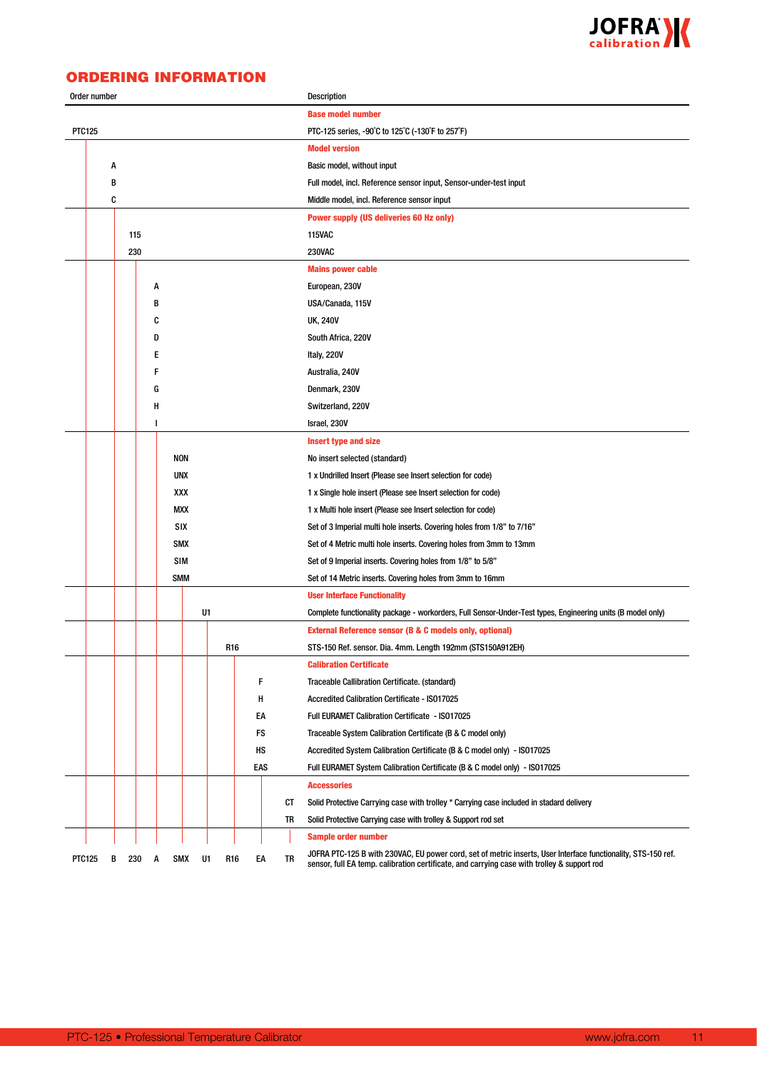

## ORDERING INFORMATION

| Order number  |            |     |   |            |     |    |                                                               |     |                                                             | Description                                                                                                                                                                                                  |  |  |
|---------------|------------|-----|---|------------|-----|----|---------------------------------------------------------------|-----|-------------------------------------------------------------|--------------------------------------------------------------------------------------------------------------------------------------------------------------------------------------------------------------|--|--|
|               |            |     |   |            |     |    |                                                               |     |                                                             | <b>Base model number</b>                                                                                                                                                                                     |  |  |
| <b>PTC125</b> |            |     |   |            |     |    |                                                               |     |                                                             | PTC-125 series, -90°C to 125°C (-130°F to 257°F)                                                                                                                                                             |  |  |
|               |            |     |   |            |     |    |                                                               |     |                                                             | <b>Model version</b>                                                                                                                                                                                         |  |  |
| Α             |            |     |   |            |     |    |                                                               |     |                                                             | Basic model, without input                                                                                                                                                                                   |  |  |
| В             |            |     |   |            |     |    |                                                               |     |                                                             | Full model, incl. Reference sensor input, Sensor-under-test input                                                                                                                                            |  |  |
|               | C          |     |   |            |     |    |                                                               |     |                                                             | Middle model, incl. Reference sensor input                                                                                                                                                                   |  |  |
|               |            |     |   |            |     |    |                                                               |     |                                                             | <b>Power supply (US deliveries 60 Hz only)</b>                                                                                                                                                               |  |  |
|               |            | 115 |   |            |     |    |                                                               |     |                                                             | <b>115VAC</b>                                                                                                                                                                                                |  |  |
|               |            | 230 |   |            |     |    |                                                               |     |                                                             | <b>230VAC</b>                                                                                                                                                                                                |  |  |
|               |            |     |   |            |     |    |                                                               |     |                                                             | <b>Mains power cable</b>                                                                                                                                                                                     |  |  |
|               |            |     | A |            |     |    |                                                               |     |                                                             | European, 230V                                                                                                                                                                                               |  |  |
|               |            |     | В |            |     |    |                                                               |     |                                                             | USA/Canada, 115V                                                                                                                                                                                             |  |  |
|               |            |     | C |            |     |    |                                                               |     |                                                             | <b>UK, 240V</b>                                                                                                                                                                                              |  |  |
|               |            |     | D |            |     |    |                                                               |     |                                                             | South Africa, 220V                                                                                                                                                                                           |  |  |
|               |            |     | Е |            |     |    |                                                               |     |                                                             | Italy, 220V                                                                                                                                                                                                  |  |  |
|               |            |     | F |            |     |    |                                                               |     |                                                             | Australia, 240V                                                                                                                                                                                              |  |  |
|               |            |     | G |            |     |    |                                                               |     |                                                             | Denmark, 230V                                                                                                                                                                                                |  |  |
|               |            |     | н |            |     |    |                                                               |     |                                                             | Switzerland, 220V                                                                                                                                                                                            |  |  |
|               |            |     | I |            |     |    |                                                               |     |                                                             | Israel, 230V                                                                                                                                                                                                 |  |  |
|               |            |     |   |            |     |    |                                                               |     |                                                             | <b>Insert type and size</b>                                                                                                                                                                                  |  |  |
|               |            |     |   | <b>NON</b> |     |    |                                                               |     |                                                             | No insert selected (standard)                                                                                                                                                                                |  |  |
|               | <b>UNX</b> |     |   |            |     |    |                                                               |     | 1 x Undrilled Insert (Please see Insert selection for code) |                                                                                                                                                                                                              |  |  |
|               | XXX        |     |   |            |     |    | 1 x Single hole insert (Please see Insert selection for code) |     |                                                             |                                                                                                                                                                                                              |  |  |
|               | <b>MXX</b> |     |   |            |     |    | 1 x Multi hole insert (Please see Insert selection for code)  |     |                                                             |                                                                                                                                                                                                              |  |  |
|               |            |     |   |            | SIX |    |                                                               |     |                                                             | Set of 3 Imperial multi hole inserts. Covering holes from 1/8" to 7/16"                                                                                                                                      |  |  |
|               |            |     |   | <b>SMX</b> |     |    |                                                               |     |                                                             | Set of 4 Metric multi hole inserts. Covering holes from 3mm to 13mm                                                                                                                                          |  |  |
|               |            |     |   |            | SIM |    |                                                               |     |                                                             | Set of 9 Imperial inserts. Covering holes from 1/8" to 5/8"                                                                                                                                                  |  |  |
|               |            |     |   | <b>SMM</b> |     |    |                                                               |     |                                                             | Set of 14 Metric inserts. Covering holes from 3mm to 16mm                                                                                                                                                    |  |  |
|               |            |     |   |            |     |    |                                                               |     |                                                             | <b>User Interface Functionality</b>                                                                                                                                                                          |  |  |
|               |            |     |   |            |     | U1 |                                                               |     |                                                             | Complete functionality package - workorders, Full Sensor-Under-Test types, Engineering units (B model only)                                                                                                  |  |  |
|               |            |     |   |            |     |    |                                                               |     |                                                             | External Reference sensor (B & C models only, optional)                                                                                                                                                      |  |  |
|               |            |     |   |            |     |    | R16                                                           |     |                                                             | STS-150 Ref. sensor. Dia. 4mm. Length 192mm (STS150A912EH)                                                                                                                                                   |  |  |
|               |            |     |   |            |     |    |                                                               |     |                                                             | <b>Calibration Certificate</b>                                                                                                                                                                               |  |  |
|               |            |     |   |            |     |    |                                                               | F   |                                                             | Traceable Callibration Certificate. (standard)                                                                                                                                                               |  |  |
|               |            |     |   |            |     |    |                                                               | н   |                                                             | Accredited Calibration Certificate - ISO17025                                                                                                                                                                |  |  |
|               |            |     |   |            |     |    |                                                               | EA  |                                                             | Full EURAMET Calibration Certificate - IS017025                                                                                                                                                              |  |  |
|               |            |     |   |            |     |    |                                                               | FS  |                                                             | Traceable System Calibration Certificate (B & C model only)                                                                                                                                                  |  |  |
|               |            |     |   |            |     |    |                                                               | НS  |                                                             | Accredited System Calibration Certificate (B & C model only) - ISO17025                                                                                                                                      |  |  |
|               |            |     |   |            |     |    |                                                               | EAS |                                                             | Full EURAMET System Calibration Certificate (B & C model only) - ISO17025                                                                                                                                    |  |  |
|               |            |     |   |            |     |    |                                                               |     |                                                             | <b>Accessories</b>                                                                                                                                                                                           |  |  |
|               |            |     |   |            |     |    |                                                               |     | СT                                                          | Solid Protective Carrying case with trolley * Carrying case included in stadard delivery                                                                                                                     |  |  |
|               |            |     |   |            |     |    |                                                               |     | TR                                                          | Solid Protective Carrying case with trolley & Support rod set                                                                                                                                                |  |  |
|               |            |     |   |            |     |    |                                                               |     |                                                             | <b>Sample order number</b>                                                                                                                                                                                   |  |  |
| <b>PTC125</b> | В          | 230 | A |            | SMX | U1 | R16                                                           | EA  | TR                                                          | JOFRA PTC-125 B with 230VAC, EU power cord, set of metric inserts, User Interface functionality, STS-150 ref.<br>sensor, full EA temp. calibration certificate, and carrying case with trolley & support rod |  |  |